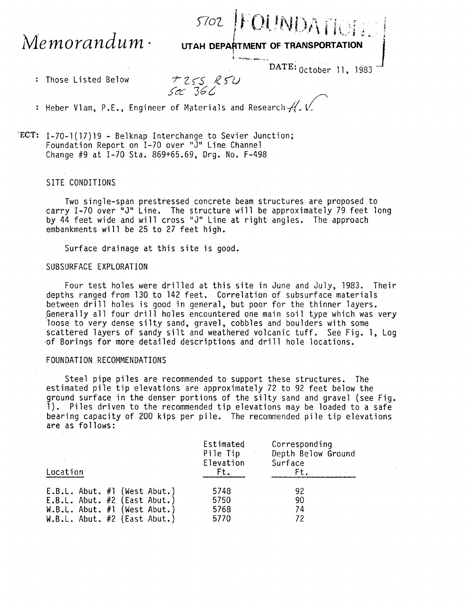## $Memor and um \cdot$

5702 FOUNDATION

UTAH DEPARTMENT OF TRANSPORTATION

DATE: 0ctober 11, 1983

: Those Listed Below

 $T255$  R5U Sec 366

: Heber Vlam, P.E., Engineer of Materials and Research  $A'$ . V.

ECT: I-70-1(17)19 - Belknap Interchange to Sevier Junction; Foundation Report on I-70 over "J" Line Channel Change #9 at I-70 Sta. 869+65.69, Drg. No. F-498

## SITE CONDITIONS

Two single-span prestressed concrete beam structures are proposed to carry I-70 over "J" Line. The structure will be approximately 79 feet long by 44 feet wide and will cross "J" Line at right angles. The approach embankments will be 25 to 27 feet high.

Surface drainage at this site is good.

## SUBSURFACE EXPLORATION

Four test holes were drilled at this site in June and July, 1983. Their depths ranged from 130 to 142 feet. Correlation of subsurface materials between drill holes is good in general, but poor for the thinner layers. Generally all four drill holes encountered one main soil type which was very loose to very dense silty sand, gravel, cobbles and boulders with some scattered layers of sandy silt and weathered volcanic tuff. See Fig. 1, Log of Borings for more detailed descriptions and drill hole locations.

## FOUNDATION RECOMMENDATIONS

Steel pipe piles are recommended to support these structures. The estimated pile tip elevations are approximately 72 to 92 feet below the ground surface in the denser portions of the silty sand and gravel (see Fig. 1). Piles driven to the recommended tip elevations may be loaded to a safe bearing capacity of 200 kips per pile. The recommended pile tip elevations are as follows:

| Location                       | Estimated<br>Pile Tip<br>Elevation<br>Ft. | Corresponding<br>Depth Below Ground<br>Surface<br>Ft. |
|--------------------------------|-------------------------------------------|-------------------------------------------------------|
| $E.B.L.$ Abut. #1 (West Abut.) | 5748                                      | 92                                                    |
| E.B.L. Abut. $#2$ (East Abut.) | 5750                                      | 90                                                    |
| $W.B.L.$ Abut. #1 (West Abut.) | 5768                                      | 74                                                    |
| $W.B.L.$ Abut. #2 (East Abut.) | 5770                                      | 72                                                    |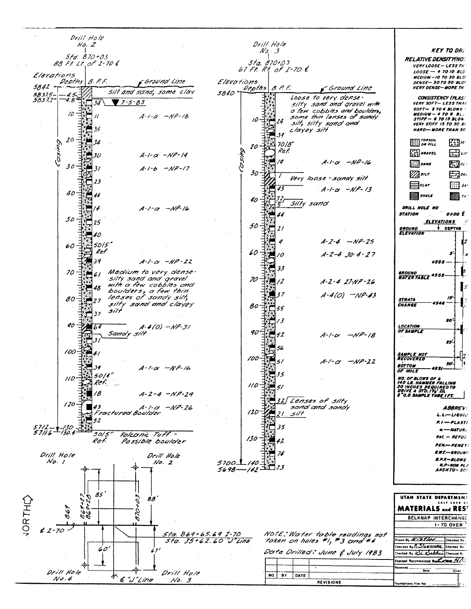